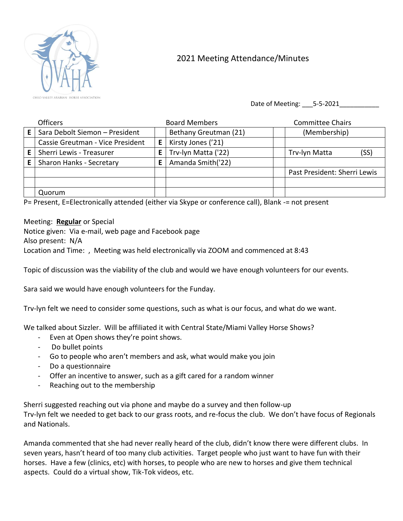

## 2021 Meeting Attendance/Minutes

Date of Meeting: 5-5-2021

| <b>Officers</b>                  |    | <b>Board Members</b>  | <b>Committee Chairs</b>      |
|----------------------------------|----|-----------------------|------------------------------|
| Sara Debolt Siemon - President   |    | Bethany Greutman (21) | (Membership)                 |
| Cassie Greutman - Vice President | E. | Kirsty Jones ('21)    |                              |
| Sherri Lewis - Treasurer         |    | Trv-lyn Matta ('22)   | Trv-lyn Matta<br>(SS)        |
| Sharon Hanks - Secretary         |    | Amanda Smith('22)     |                              |
|                                  |    |                       | Past President: Sherri Lewis |
|                                  |    |                       |                              |
| Quorum                           |    |                       |                              |

P= Present, E=Electronically attended (either via Skype or conference call), Blank -= not present

## Meeting: **Regular** or Special

Notice given: Via e-mail, web page and Facebook page Also present: N/A Location and Time: , Meeting was held electronically via ZOOM and commenced at 8:43

Topic of discussion was the viability of the club and would we have enough volunteers for our events.

Sara said we would have enough volunteers for the Funday.

Trv-lyn felt we need to consider some questions, such as what is our focus, and what do we want.

We talked about Sizzler. Will be affiliated it with Central State/Miami Valley Horse Shows?

- Even at Open shows they're point shows.
- Do bullet points
- Go to people who aren't members and ask, what would make you join
- Do a questionnaire
- Offer an incentive to answer, such as a gift cared for a random winner
- Reaching out to the membership

Sherri suggested reaching out via phone and maybe do a survey and then follow-up Trv-lyn felt we needed to get back to our grass roots, and re-focus the club. We don't have focus of Regionals and Nationals.

Amanda commented that she had never really heard of the club, didn't know there were different clubs. In seven years, hasn't heard of too many club activities. Target people who just want to have fun with their horses. Have a few (clinics, etc) with horses, to people who are new to horses and give them technical aspects. Could do a virtual show, Tik-Tok videos, etc.